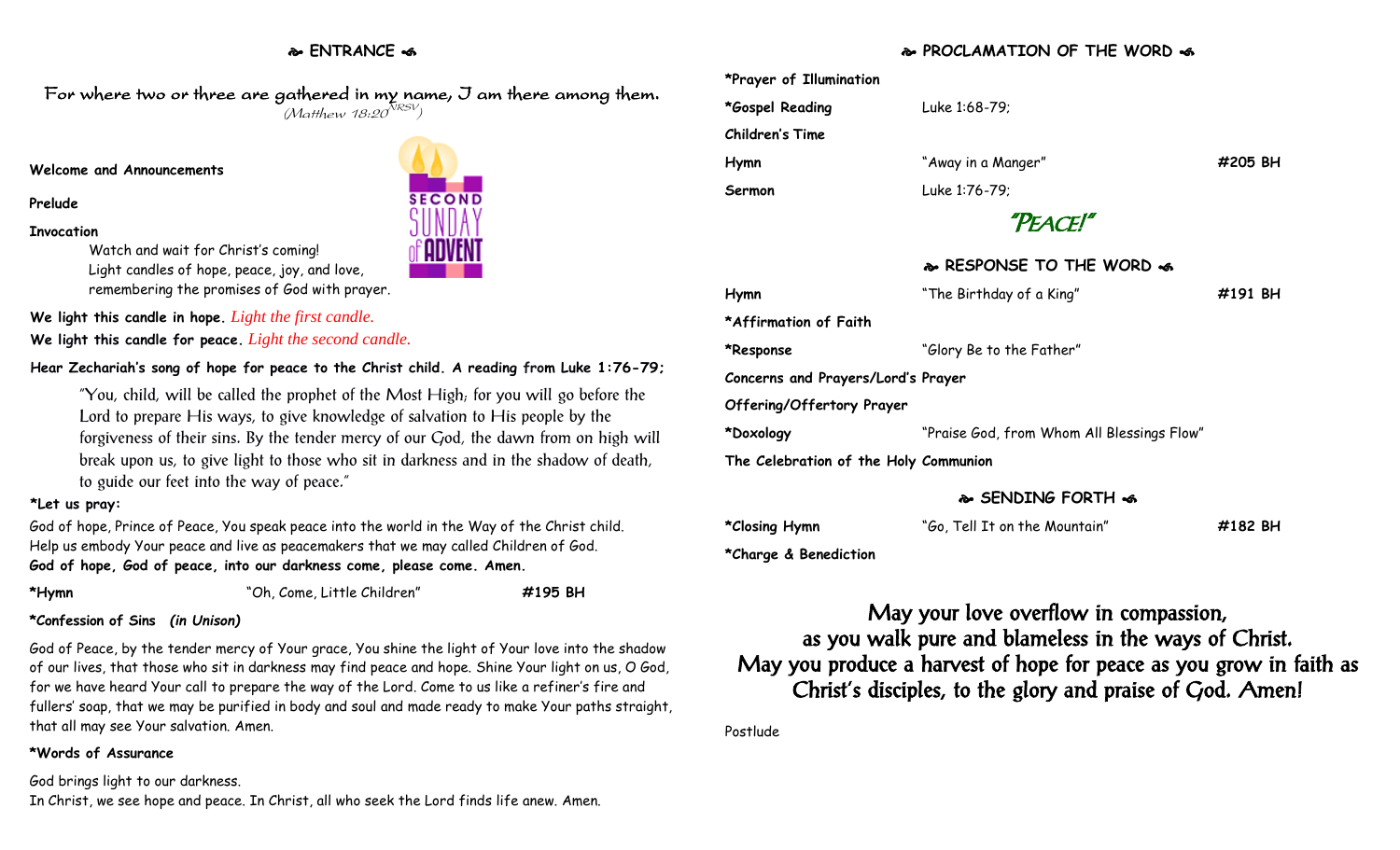## **ENTRANCE**

For where two or three are gathered in my name, I am there among them.  $(M$ atthew 18:20 $^{NRSV})$ 

#### **Welcome and Announcements**

#### **Prelude**

#### **Invocation**

Watch and wait for Christ's coming! Light candles of hope, peace, joy, and love, remembering the promises of God with prayer.

**We light this candle in hope.** *Light the first candle.* 

**We light this candle for peace.** *Light the second candle.* 

## **Hear Zechariah's song of hope for peace to the Christ child. A reading from Luke 1:76-79;**

"You, child, will be called the prophet of the Most High; for you will go before the Lord to prepare His ways, to give knowledge of salvation to His people by the forgiveness of their sins. By the tender mercy of our God, the dawn from on high will break upon us, to give light to those who sit in darkness and in the shadow of death, to guide our feet into the way of peace."

#### **\*Let us pray:**

God of hope, Prince of Peace, You speak peace into the world in the Way of the Christ child. Help us embody Your peace and live as peacemakers that we may called Children of God. **God of hope, God of peace, into our darkness come, please come. Amen.**

| *Hymn |  |
|-------|--|
|-------|--|

**\*Hymn** "Oh, Come, Little Children" **#195 BH**

### **\*Confession of Sins** *(in Unison)*

God of Peace, by the tender mercy of Your grace, You shine the light of Your love into the shadow of our lives, that those who sit in darkness may find peace and hope. Shine Your light on us, O God, for we have heard Your call to prepare the way of the Lord. Come to us like a refiner's fire and fullers' soap, that we may be purified in body and soul and made ready to make Your paths straight, that all may see Your salvation. Amen.

### **\*Words of Assurance**

God brings light to our darkness. In Christ, we see hope and peace. In Christ, all who seek the Lord finds life anew. Amen.

## **PROCLAMATION OF THE WORD**

| *Prayer of Illumination               |                                            |         |  |  |
|---------------------------------------|--------------------------------------------|---------|--|--|
| *Gospel Reading                       | Luke 1:68-79;                              |         |  |  |
| <b>Children's Time</b>                |                                            |         |  |  |
| Hymn                                  | "Away in a Manger"                         | #205 BH |  |  |
| Sermon                                | Luke 1:76-79;                              |         |  |  |
|                                       | "PEACE!"                                   |         |  |  |
|                                       | & RESPONSE TO THE WORD &                   |         |  |  |
| Hymn                                  | "The Birthday of a King"                   | #191 BH |  |  |
| *Affirmation of Faith                 |                                            |         |  |  |
| *Response                             | "Glory Be to the Father"                   |         |  |  |
| Concerns and Prayers/Lord's Prayer    |                                            |         |  |  |
| Offering/Offertory Prayer             |                                            |         |  |  |
| *Doxology                             | "Praise God, from Whom All Blessings Flow" |         |  |  |
| The Celebration of the Holy Communion |                                            |         |  |  |

## **SENDING FORTH**

| *Closing Hymn | "Go, Tell It on the Mountain" | #182 BH |
|---------------|-------------------------------|---------|
|               |                               |         |

**\*Charge & Benediction**

May your love overflow in compassion, as you walk pure and blameless in the ways of Christ. May you produce a harvest of hope for peace as you grow in faith as Christ's disciples, to the glory and praise of God. Amen!

Postlude